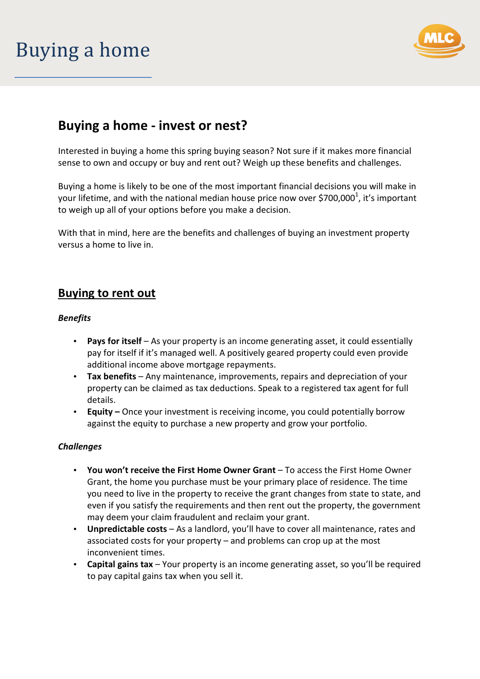## Buying a home



## **Buying a home - invest or nest?**

Interested in buying a home this spring buying season? Not sure if it makes more financial sense to own and occupy or buy and rent out? Weigh up these benefits and challenges.

Buying a home is likely to be one of the most important financial decisions you will make in your lifetime, and with the national median house price now over \$700,000<sup>1</sup>, it's important to weigh up all of your options before you make a decision.

With that in mind, here are the benefits and challenges of buying an investment property versus a home to live in.

### **Buying to rent out**

#### *Benefits*

- **Pays for itself** As your property is an income generating asset, it could essentially pay for itself if it's managed well. A positively geared property could even provide additional income above mortgage repayments.
- **Tax benefits**  Any maintenance, improvements, repairs and depreciation of your property can be claimed as tax deductions. Speak to a registered tax agent for full details.
- **Equity** Once your investment is receiving income, you could potentially borrow against the equity to purchase a new property and grow your portfolio.

#### *Challenges*

- **You won't receive the First Home Owner Grant** To access the First Home Owner Grant, the home you purchase must be your primary place of residence. The time you need to live in the property to receive the grant changes from state to state, and even if you satisfy the requirements and then rent out the property, the government may deem your claim fraudulent and reclaim your grant.
- **Unpredictable costs** As a landlord, you'll have to cover all maintenance, rates and associated costs for your property – and problems can crop up at the most inconvenient times.
- **Capital gains tax** Your property is an income generating asset, so you'll be required to pay capital gains tax when you sell it.